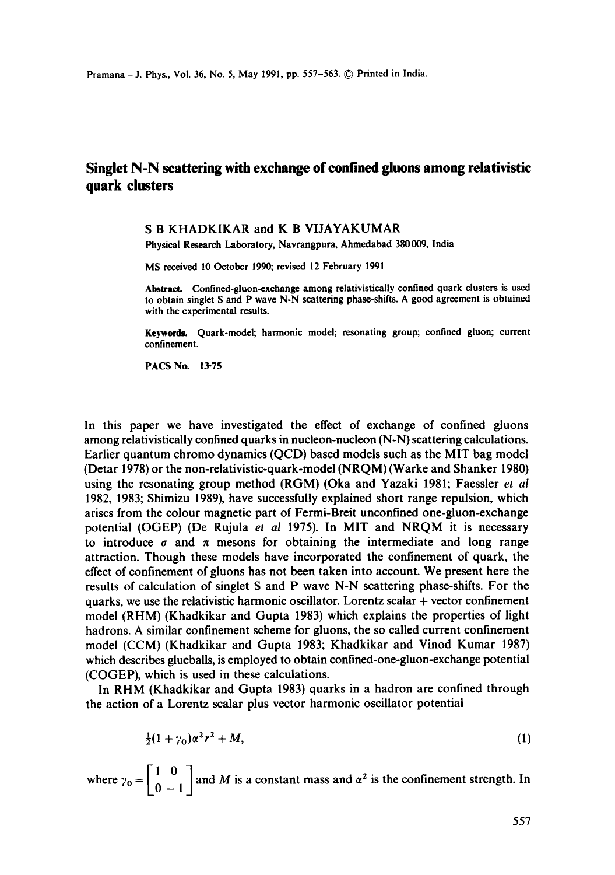# **Singlet N-N scattering with exchange of confined gluons among relativistic quark clusters**

## S B KHADKIKAR and K B VIJAYAKUMAR

Physical Research Laboratory, Navrangpura, Ahmedabad 380009, India

MS received 10 October 1990; revised 12 February 1991

Abstract. Confined-gluon-exchange among relativistically confined quark clusters is used to obtain singlet S and P wave N-N scattering phase-shifts. A good agreement is obtained with the experimental results.

Keywords. Quark-model; harmonic model; resonating group; confined gluon; current confinement.

PACS No. 13-75

In this paper we have investigated the effect of exchange of confined gluons among relativistically confined quarks in nucleon-nucleon (N-N) scattering calculations. Earlier quantum chromo dynamics (QCD) based models such as the MIT bag model (Detar 1978) or the non-relativistic-quark-model (NRQM) (Warke and Shanker 1980) using the resonating group method (RGM) (Oka and Yazaki 1981; Faessler *et al*  1982, 1983; Shimizu 1989), have successfully explained short range repulsion, which arises from the colour magnetic part of Fermi-Breit unconfined one-gluon-exchange potential (OGEP) (De Rujula *et al* 1975). In MIT and NRQM it is necessary to introduce  $\sigma$  and  $\pi$  mesons for obtaining the intermediate and long range attraction. Though these models have incorporated the confinement of quark, the effect of confinement of gluons has not been taken into account. We present here the results of calculation of singlet S and P wave N-N scattering phase-shifts. For the quarks, we use the relativistic harmonic oscillator. Lorentz scalar + vector confinement model (RHM) (Khadkikar and Gupta 1983) which explains the properties of light hadrons. A similar confinement scheme for gluons, the so called current confinement model (CCM) (Khadkikar and Gupta 1983; Khadkikar and Vinod Kumar 1987) which describes glueballs, is employed to obtain confined-one-gluon-exchange potential (COGEP), which is used in these calculations.

In RHM (Khadkikar and Gupta 1983) quarks in a hadron are confined through the action of a Lorentz scalar plus vector harmonic oscillator potential

$$
\frac{1}{2}(1+\gamma_0)\alpha^2r^2+M,\tag{1}
$$

where  $\gamma_0 = \begin{bmatrix} 1 & 0 \\ 0 & -1 \end{bmatrix}$  and M is a constant mass and  $\alpha^2$  is the confinement strength. In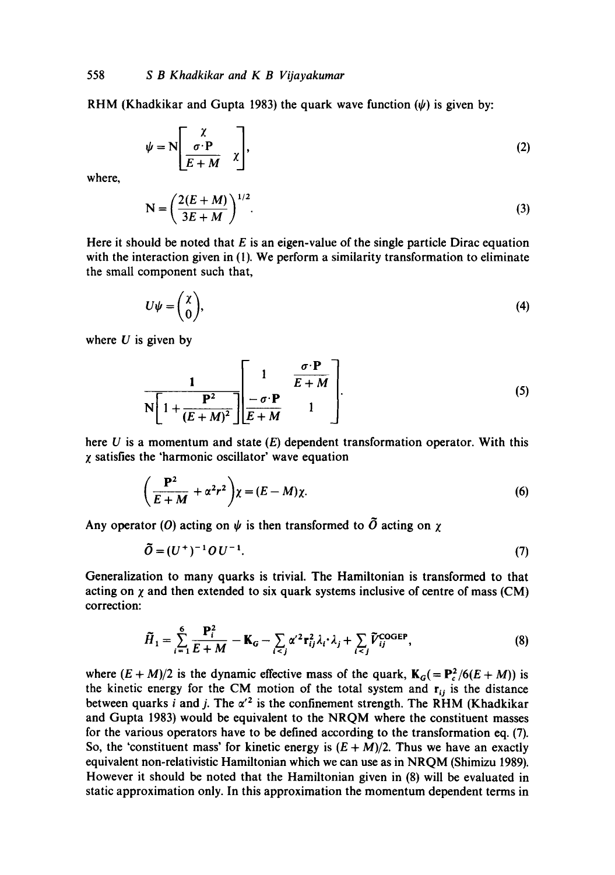RHM (Khadkikar and Gupta 1983) the quark wave function  $(\psi)$  is given by:

$$
\psi = N \left[ \begin{array}{c} \chi \\ \sigma \cdot P \\ \hline E + M \end{array} \right],
$$
 (2)

where,

$$
N = \left(\frac{2(E+M)}{3E+M}\right)^{1/2}.\tag{3}
$$

Here it should be noted that  $E$  is an eigen-value of the single particle Dirac equation with the interaction given in (1). We perform a similarity transformation to eliminate the small component such that,

$$
U\psi = \begin{pmatrix} \chi \\ 0 \end{pmatrix},\tag{4}
$$

where  $U$  is given by

$$
\frac{1}{N\left[1+\frac{P^2}{(E+M)^2}\right]} \left[\frac{1}{\sigma \cdot P} \frac{\sigma \cdot P}{1}\right].
$$
 (5)

here  $U$  is a momentum and state  $(E)$  dependent transformation operator. With this  $\chi$  satisfies the 'harmonic oscillator' wave equation

$$
\left(\frac{\mathbf{P}^2}{E+M} + \alpha^2 r^2\right)\chi = (E-M)\chi.
$$
 (6)

Any operator (O) acting on  $\psi$  is then transformed to  $\tilde{O}$  acting on  $\chi$ 

$$
\tilde{O} = (U^+)^{-1} O U^{-1}.
$$
\n(7)

Generalization to many quarks is trivial. The Hamiitonian is transformed to that acting on  $\chi$  and then extended to six quark systems inclusive of centre of mass (CM) correction:

$$
\widetilde{H}_1 = \sum_{i=1}^6 \frac{\mathbf{P}_i^2}{E+M} - \mathbf{K}_G - \sum_{i < j} \alpha'^2 \mathbf{r}_{ij}^2 \lambda_i \cdot \lambda_j + \sum_{i < j} \widetilde{V}_{ij}^{\text{COGEP}},\tag{8}
$$

where  $(E + M)/2$  is the dynamic effective mass of the quark,  $K_G = P_c^2/6(E + M)$  is the kinetic energy for the CM motion of the total system and  $r_{ij}$  is the distance between quarks i and j. The  $\alpha'^2$  is the confinement strength. The RHM (Khadkikar and Gupta 1983) would be equivalent to the NRQM where the constituent masses for the various operators have to be defined according to the transformation eq. (7). So, the 'constituent mass' for kinetic energy is  $(E + M)/2$ . Thus we have an exactly equivalent non-relativistic Hamiltonian which we can use as in NRQM (Shimizu 1989). However it should be noted that the Hamiltonian given in (8) will be evaluated in static approximation only. In this approximation the momentum dependent terms in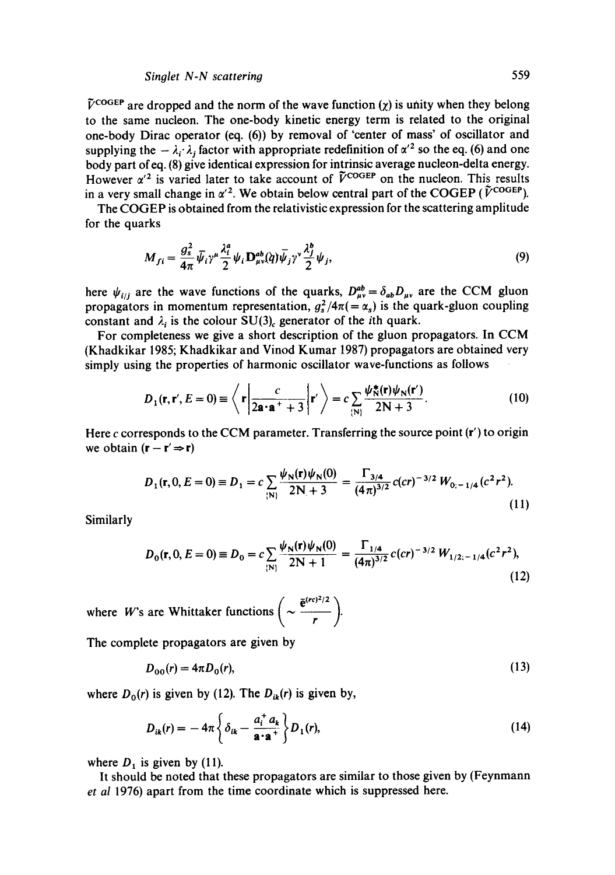## *Singlet N-N scattering* 559

 $\tilde{V}^{\text{COGEP}}$  are dropped and the norm of the wave function (x) is unity when they belong to the same nucleon. The one-body kinetic energy term is related to the original one-body Dirac operator (eq. (6)) by removal of 'center of mass' of oscillator and supplying the  $-\lambda_i \lambda_j$  factor with appropriate redefinition of  $\alpha'^2$  so the eq. (6) and one body part ofeq. (8) give identical expression for intrinsic average nucleon-delta energy. However  $\alpha'^2$  is varied later to take account of  $\tilde{V}^{\text{COGEP}}$  on the nucleon. This results in a very small change in  $\alpha'^2$ . We obtain below central part of the COGEP ( $\tilde{V}^{\text{COGEP}}$ ).

The COGEP is obtained from the relativistic expression for the scattering amplitude for the quarks

$$
M_{fi} = \frac{g_s^2}{4\pi} \bar{\psi}_i \gamma^\mu \frac{\lambda_i^a}{2} \psi_i \mathbf{D}^{ab}_{\mu\nu}(\dot{q}) \bar{\psi}_j \gamma^\nu \frac{\lambda_j^b}{2} \psi_j, \tag{9}
$$

here  $\psi_{i j j}$  are the wave functions of the quarks,  $D_{\mu\nu}^{ab} = \delta_{ab} D_{\mu\nu}$  are the CCM gluon propagators in momentum representation,  $g_s^2/4\pi (= \alpha_s)$  is the quark-gluon coupling constant and  $\lambda_i$  is the colour SU(3)<sub>c</sub> generator of the *i*th quark.

For completeness we give a short description of the gluon propagators. In CCM (Khadkikar 1985; Khadkikar and Vinod Kumar 1987) propagators are obtained very simply using the properties of harmonic oscillator wave-functions as follows

$$
D_1(\mathbf{r}, \mathbf{r}', E = 0) \equiv \left\langle \mathbf{r} \left| \frac{c}{2\mathbf{a} \cdot \mathbf{a}^+ + 3} \right| \mathbf{r}' \right\rangle = c \sum_{\{\mathbf{N}\}} \frac{\psi_N^*(\mathbf{r}) \psi_N(\mathbf{r}')}{2\mathbf{N} + 3}.
$$
 (10)

Here c corresponds to the CCM parameter. Transferring the source point (r') to origin we obtain  $(r - r' \Rightarrow r)$ 

$$
D_1(\mathbf{r}, 0, E = 0) \equiv D_1 = c \sum_{\{\mathbf{N}\}} \frac{\psi_{\mathbf{N}}(\mathbf{r}) \psi_{\mathbf{N}}(0)}{2\mathbf{N} + 3} = \frac{\Gamma_{3/4}}{(4\pi)^{3/2}} c(c\mathbf{r})^{-3/2} W_{0;-1/4} (c^2 \mathbf{r}^2). \tag{11}
$$

Similarly

$$
D_0(\mathbf{r}, 0, E = 0) \equiv D_0 = c \sum_{\{N\}} \frac{\psi_N(\mathbf{r}) \psi_N(0)}{2N + 1} = \frac{\Gamma_{1/4}}{(4\pi)^{3/2}} c(ct)^{-3/2} W_{1/2;-1/4}(c^2 r^2),
$$
\n(12)

where *W*'s are Whittaker functions  $\left(\sim \frac{e^{i(r_r/2)}}{r}\right)$ 

The complete propagators are given by

$$
D_{00}(r) = 4\pi D_0(r),\tag{13}
$$

where  $D_0(r)$  is given by (12). The  $D_{ik}(r)$  is given by,

$$
D_{ik}(r) = -4\pi \left\{ \delta_{ik} - \frac{a_i^+ \, a_k}{\mathbf{a} \cdot \mathbf{a}^+} \right\} D_1(r),\tag{14}
$$

where  $D_1$  is given by (11).

It should be noted that these propagators are similar to those given by (Feynmann *et al* 1976) apart from the time coordinate which is suppressed here.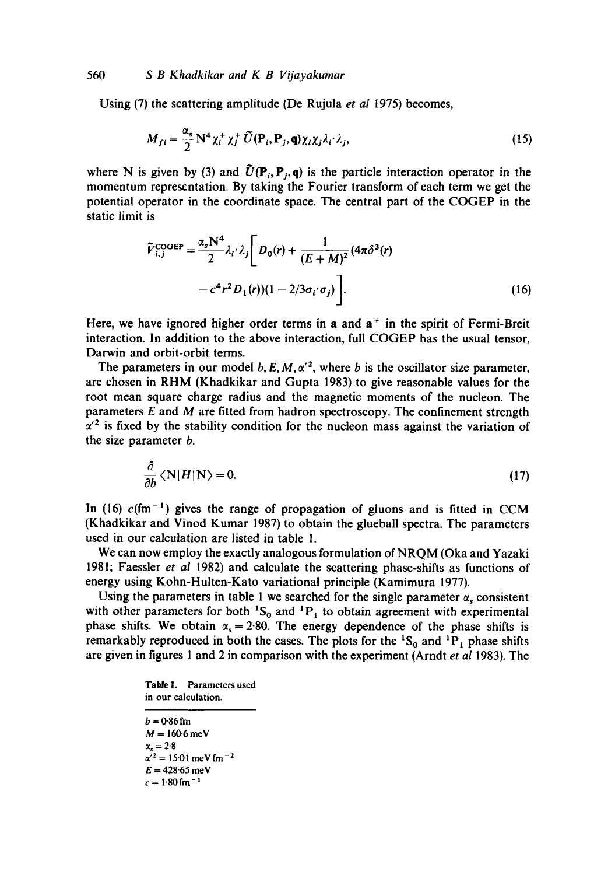Using (7) the scattering amplitude (De Rujula *et al* 1975) becomes,

$$
M_{fi} = \frac{\alpha_s}{2} N^4 \chi_i^+ \chi_j^+ \tilde{U}(\mathbf{P}_i, \mathbf{P}_j, \mathbf{q}) \chi_i \chi_j \lambda_i \lambda_j, \qquad (15)
$$

where N is given by (3) and  $\tilde{U}(\mathbf{P}_i, \mathbf{P}_i, \mathbf{q})$  is the particle interaction operator in the momentum representation. By taking the Fourier transform of each term we get the potential operator in the coordinate space. The central part of the COGEP in the static limit is

$$
\widetilde{V}_{i,j}^{\text{COGEP}} = \frac{\alpha_s \mathbf{N}^4}{2} \lambda_i \cdot \lambda_j \left[ D_0(r) + \frac{1}{(E+M)^2} (4\pi \delta^3(r) - c^4 r^2 D_1(r)) (1 - 2/3 \sigma_i \cdot \sigma_j) \right].
$$
\n(16)

Here, we have ignored higher order terms in a and  $a<sup>+</sup>$  in the spirit of Fermi-Breit interaction. In addition to the above interaction, full COGEP has the usual tensor, Darwin and orbit-orbit terms.

The parameters in our model b, E, M,  $\alpha'^2$ , where b is the oscillator size parameter, are chosen in RHM (Khadkikar and Gupta 1983) to give reasonable values for the root mean square charge radius and the magnetic moments of the nucleon. The parameters  $E$  and  $M$  are fitted from hadron spectroscopy. The confinement strength  $\alpha'^2$  is fixed by the stability condition for the nucleon mass against the variation of the size parameter b.

$$
\frac{\partial}{\partial b} \langle N|H|N\rangle = 0. \tag{17}
$$

In (16)  $c$ (fm<sup>-1</sup>) gives the range of propagation of gluons and is fitted in CCM (Khadkikar and Vinod Kumar 1987) to obtain the glueball spectra. The parameters used in our calculation are listed in table 1.

We can now employ the exactly analogous formulation of NRQM (Oka and Yazaki 1981; Faessler *et al* 1982) and calculate the scattering phase-shifts as functions of energy using Kohn-Huiten-Kato variational principle (Kamimura 1977).

Using the parameters in table 1 we searched for the single parameter  $\alpha_s$  consistent with other parameters for both  ${}^{1}S_{0}$  and  ${}^{1}P_{1}$  to obtain agreement with experimental phase shifts. We obtain  $\alpha_s = 2.80$ . The energy dependence of the phase shifts is remarkably reproduced in both the cases. The plots for the  ${}^{1}S_{0}$  and  ${}^{1}P_{1}$  phase shifts are given in figures 1 and 2 in comparison with the experiment (Arndt *et al* 1983). The

#### **Table 1.** Parameters used in our calculation.

```
b = 0.86 fm
M = 160.6 meV
\alpha_s = 2.8\alpha'^2 = 15.01 meV fm<sup>-2</sup>
E = 428.65 meV
c = 1.80 fm<sup>-1</sup>
```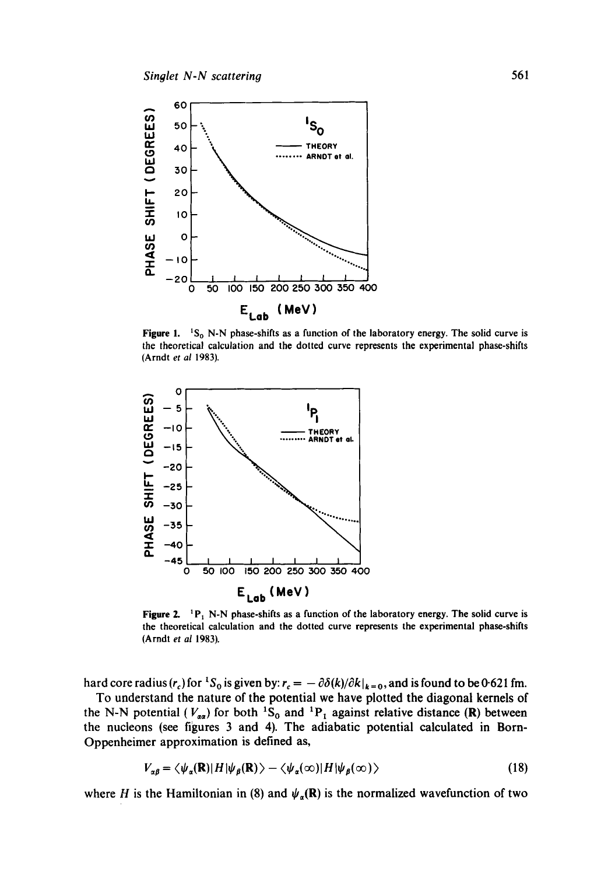

Figure 1.  ${}^{1}S_{0}$  N-N phase-shifts as a function of the laboratory energy. The solid curve is the theoretical calculation and the dotted curve represents the experimental phase-shifts (Arndt *et al* 1983).



Figure 2.  $P_1$  N-N phase-shifts as a function of the laboratory energy. The solid curve is the theoretical calculation and the dotted curve represents the experimental phase-shifts (Arndt *et al* 1983).

hard core radius  $(r_c)$  for <sup>1</sup>S<sub>0</sub> is given by:  $r_c = -\partial \delta(k)/\partial k|_{k=0}$ , and is found to be 0-621 fm.

To understand the nature of the potential we have plotted the diagonal kernels of the N-N potential ( $V_{aa}$ ) for both <sup>1</sup>S<sub>0</sub> and <sup>1</sup>P<sub>1</sub> against relative distance (R) between the nucleons (see figures 3 and 4). The adiabatic potential calculated in Born-Oppenheimer approximation is defined as,

$$
V_{\alpha\beta} = \langle \psi_{\alpha}(\mathbf{R}) | H | \psi_{\beta}(\mathbf{R}) \rangle - \langle \psi_{\alpha}(\infty) | H | \psi_{\beta}(\infty) \rangle \tag{18}
$$

where H is the Hamiltonian in (8) and  $\psi_{\alpha}(\mathbf{R})$  is the normalized wavefunction of two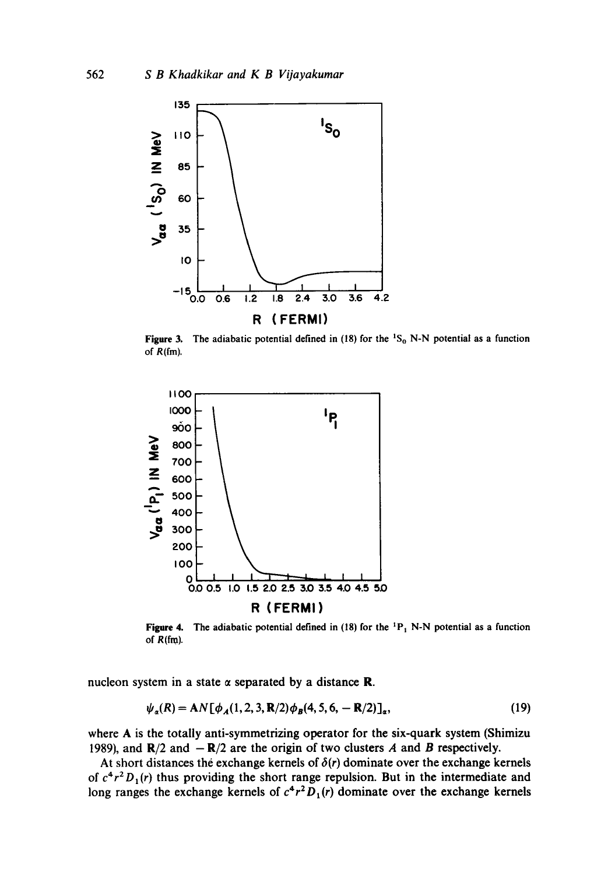

**Figure 3.** The adiabatic potential defined in  $(18)$  for the  ${}^{1}S_{0}$  N-N potential as a function of  $R(fm)$ .



**Figure 4.**  of R(fm). The adiabatic potential defined in (18) for the  ${}^{1}P_1$  N-N potential as a function

nucleon system in a state  $\alpha$  separated by a distance **R**.

$$
\psi_a(R) = AN[\phi_A(1, 2, 3, R/2)\phi_B(4, 5, 6, -R/2)]_a, \tag{19}
$$

where A is the totally anti-symmetrizing operator for the six-quark system (Shimizu 1989), and  $\mathbb{R}/2$  and  $-\mathbb{R}/2$  are the origin of two clusters A and B respectively.

At short distances the exchange kernels of  $\delta(r)$  dominate over the exchange kernels of  $c^4r^2D_1(r)$  thus providing the short range repulsion. But in the intermediate and long ranges the exchange kernels of  $c^4r^2D_1(r)$  dominate over the exchange kernels